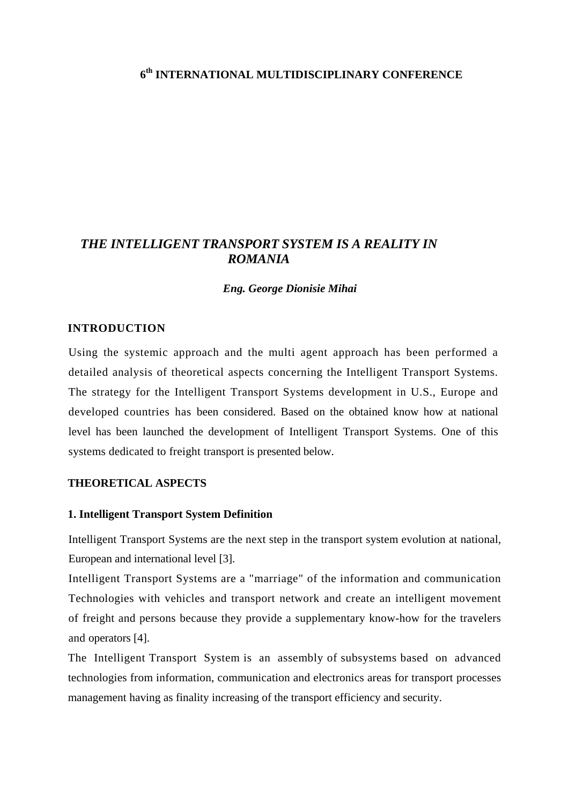# **6th INTERNATIONAL MULTIDISCIPLINARY CONFERENCE**

# *THE INTELLIGENT TRANSPORT SYSTEM IS A REALITY IN ROMANIA*

*Eng. George Dionisie Mihai* 

#### **INTRODUCTION**

Using the systemic approach and the multi agent approach has been performed a detailed analysis of theoretical aspects concerning the Intelligent Transport Systems. The strategy for the Intelligent Transport Systems development in U.S., Europe and developed countries has been considered. Based on the obtained know how at national level has been launched the development of Intelligent Transport Systems. One of this systems dedicated to freight transport is presented below.

### **THEORETICAL ASPECTS**

#### **1. Intelligent Transport System Definition**

Intelligent Transport Systems are the next step in the transport system evolution at national, European and international level [3].

Intelligent Transport Systems are a "marriage" of the information and communication Technologies with vehicles and transport network and create an intelligent movement of freight and persons because they provide a supplementary know-how for the travelers and operators [4].

The Intelligent Transport System is an assembly of subsystems based on advanced technologies from information, communication and electronics areas for transport processes management having as finality increasing of the transport efficiency and security.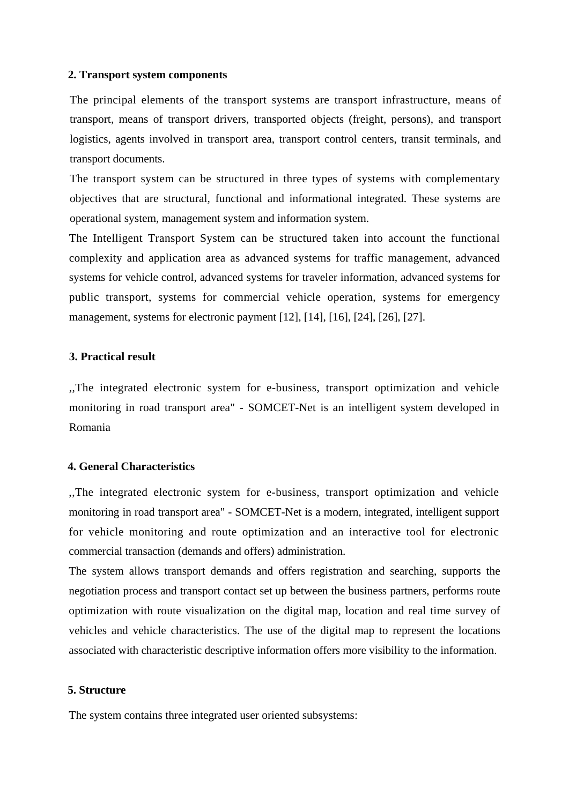#### **2. Transport system components**

The principal elements of the transport systems are transport infrastructure, means of transport, means of transport drivers, transported objects (freight, persons), and transport logistics, agents involved in transport area, transport control centers, transit terminals, and transport documents.

The transport system can be structured in three types of systems with complementary objectives that are structural, functional and informational integrated. These systems are operational system, management system and information system.

The Intelligent Transport System can be structured taken into account the functional complexity and application area as advanced systems for traffic management, advanced systems for vehicle control, advanced systems for traveler information, advanced systems for public transport, systems for commercial vehicle operation, systems for emergency management, systems for electronic payment [12], [14], [16], [24], [26], [27].

#### **3. Practical result**

,,The integrated electronic system for e-business, transport optimization and vehicle monitoring in road transport area" - SOMCET-Net is an intelligent system developed in Romania

#### **4. General Characteristics**

,,The integrated electronic system for e-business, transport optimization and vehicle monitoring in road transport area" - SOMCET-Net is a modern, integrated, intelligent support for vehicle monitoring and route optimization and an interactive tool for electronic commercial transaction (demands and offers) administration.

The system allows transport demands and offers registration and searching, supports the negotiation process and transport contact set up between the business partners, performs route optimization with route visualization on the digital map, location and real time survey of vehicles and vehicle characteristics. The use of the digital map to represent the locations associated with characteristic descriptive information offers more visibility to the information.

#### **5. Structure**

The system contains three integrated user oriented subsystems: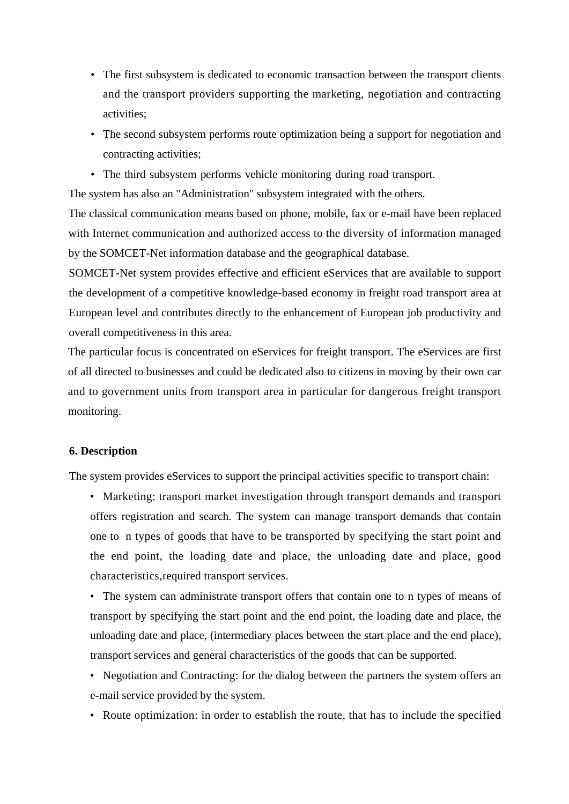- The first subsystem is dedicated to economic transaction between the transport clients and the transport providers supporting the marketing, negotiation and contracting activities;
- The second subsystem performs route optimization being a support for negotiation and contracting activities;
- The third subsystem performs vehicle monitoring during road transport.

The system has also an "Administration" subsystem integrated with the others.

The classical communication means based on phone, mobile, fax or e-mail have been replaced with Internet communication and authorized access to the diversity of information managed by the SOMCET-Net information database and the geographical database.

SOMCET-Net system provides effective and efficient eServices that are available to support the development of a competitive knowledge-based economy in freight road transport area at European level and contributes directly to the enhancement of European job productivity and overall competitiveness in this area.

The particular focus is concentrated on eServices for freight transport. The eServices are first of all directed to businesses and could be dedicated also to citizens in moving by their own car and to government units from transport area in particular for dangerous freight transport monitoring.

### **6. Description**

The system provides eServices to support the principal activities specific to transport chain:

- Marketing: transport market investigation through transport demands and transport offers registration and search. The system can manage transport demands that contain one to n types of goods that have to be transported by specifying the start point and the end point, the loading date and place, the unloading date and place, good characteristics,required transport services.
- The system can administrate transport offers that contain one to n types of means of transport by specifying the start point and the end point, the loading date and place, the unloading date and place, (intermediary places between the start place and the end place), transport services and general characteristics of the goods that can be supported.
- Negotiation and Contracting: for the dialog between the partners the system offers an e-mail service provided by the system.
- Route optimization: in order to establish the route, that has to include the specified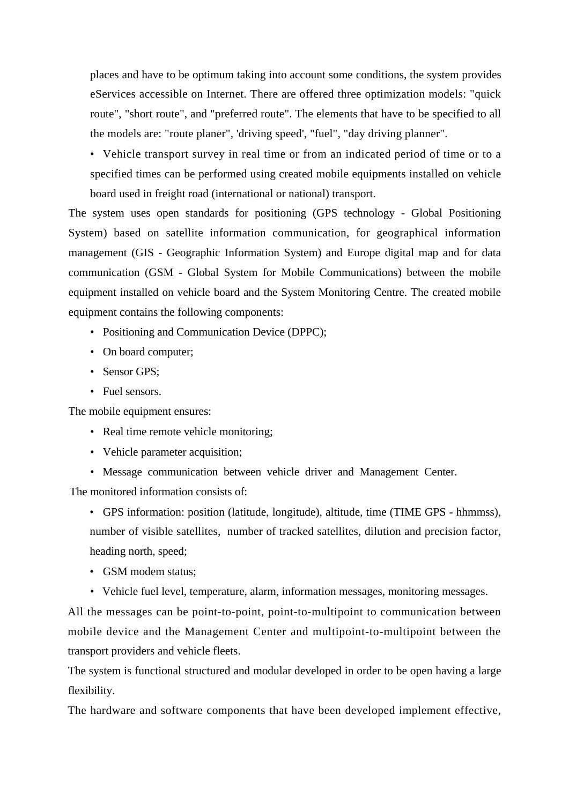places and have to be optimum taking into account some conditions, the system provides eServices accessible on Internet. There are offered three optimization models: "quick route", "short route", and "preferred route". The elements that have to be specified to all the models are: "route planer", 'driving speed', "fuel", "day driving planner".

• Vehicle transport survey in real time or from an indicated period of time or to a specified times can be performed using created mobile equipments installed on vehicle board used in freight road (international or national) transport.

The system uses open standards for positioning (GPS technology - Global Positioning System) based on satellite information communication, for geographical information management (GIS - Geographic Information System) and Europe digital map and for data communication (GSM - Global System for Mobile Communications) between the mobile equipment installed on vehicle board and the System Monitoring Centre. The created mobile equipment contains the following components:

- Positioning and Communication Device (DPPC);
- On board computer;
- Sensor GPS:
- Fuel sensors.

The mobile equipment ensures:

- Real time remote vehicle monitoring;
- Vehicle parameter acquisition;
- Message communication between vehicle driver and Management Center.

The monitored information consists of:

- GPS information: position (latitude, longitude), altitude, time (TIME GPS hhmmss), number of visible satellites, number of tracked satellites, dilution and precision factor, heading north, speed;
- GSM modem status;
- Vehicle fuel level, temperature, alarm, information messages, monitoring messages.

All the messages can be point-to-point, point-to-multipoint to communication between mobile device and the Management Center and multipoint-to-multipoint between the transport providers and vehicle fleets.

The system is functional structured and modular developed in order to be open having a large flexibility.

The hardware and software components that have been developed implement effective,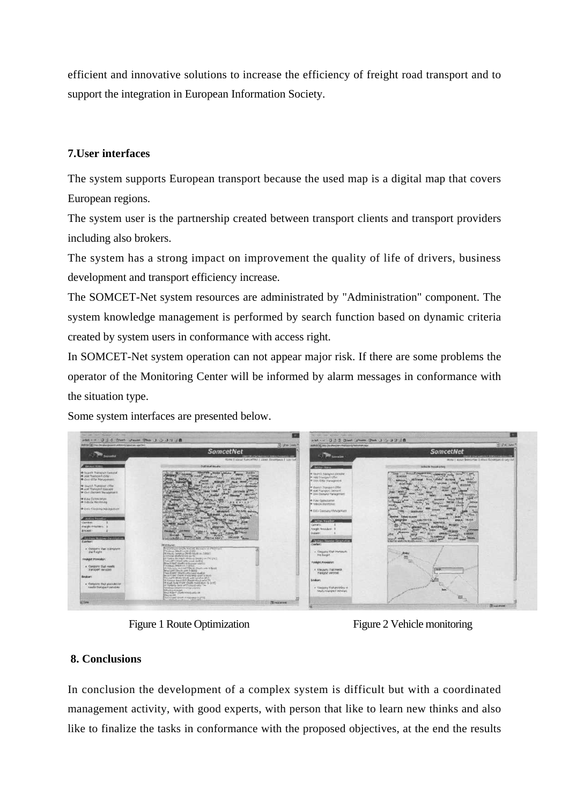efficient and innovative solutions to increase the efficiency of freight road transport and to support the integration in European Information Society.

# **7.User interfaces**

The system supports European transport because the used map is a digital map that covers European regions.

The system user is the partnership created between transport clients and transport providers including also brokers.

The system has a strong impact on improvement the quality of life of drivers, business development and transport efficiency increase.

The SOMCET-Net system resources are administrated by "Administration" component. The system knowledge management is performed by search function based on dynamic criteria created by system users in conformance with access right.

In SOMCET-Net system operation can not appear major risk. If there are some problems the operator of the Monitoring Center will be informed by alarm messages in conformance with the situation type.

Some system interfaces are presented below.



Figure 1 Route Optimization Figure 2 Vehicle monitoring

# **8. Conclusions**

In conclusion the development of a complex system is difficult but with a coordinated management activity, with good experts, with person that like to learn new thinks and also like to finalize the tasks in conformance with the proposed objectives, at the end the results